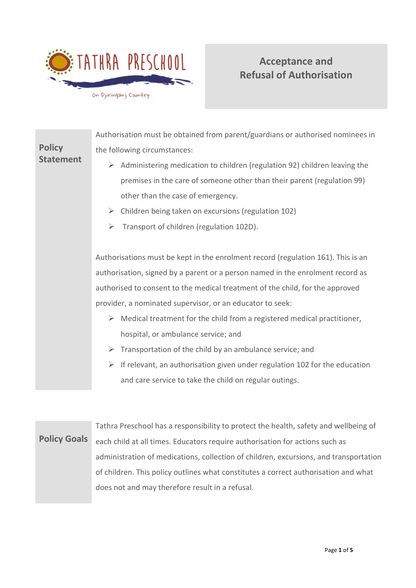

# **Acceptance and Refusal of Authorisation**

|                                   | Authorisation must be obtained from parent/guardians or authorised nominees in       |  |  |  |
|-----------------------------------|--------------------------------------------------------------------------------------|--|--|--|
| <b>Policy</b><br><b>Statement</b> | the following circumstances:                                                         |  |  |  |
|                                   | Administering medication to children (regulation 92) children leaving the<br>➤       |  |  |  |
|                                   | premises in the care of someone other than their parent (regulation 99)              |  |  |  |
|                                   | other than the case of emergency.                                                    |  |  |  |
|                                   | Children being taken on excursions (regulation 102)<br>➤                             |  |  |  |
|                                   | Transport of children (regulation 102D).<br>$\blacktriangleright$                    |  |  |  |
|                                   |                                                                                      |  |  |  |
|                                   | Authorisations must be kept in the enrolment record (regulation 161). This is an     |  |  |  |
|                                   | authorisation, signed by a parent or a person named in the enrolment record as       |  |  |  |
|                                   | authorised to consent to the medical treatment of the child, for the approved        |  |  |  |
|                                   | provider, a nominated supervisor, or an educator to seek:                            |  |  |  |
|                                   | Medical treatment for the child from a registered medical practitioner,<br>➤         |  |  |  |
|                                   | hospital, or ambulance service; and                                                  |  |  |  |
|                                   | Transportation of the child by an ambulance service; and<br>➤                        |  |  |  |
|                                   | If relevant, an authorisation given under regulation 102 for the education<br>➤      |  |  |  |
|                                   | and care service to take the child on regular outings.                               |  |  |  |
|                                   |                                                                                      |  |  |  |
|                                   |                                                                                      |  |  |  |
|                                   | Tathra Preschool has a responsibility to protect the health, safety and wellbeing of |  |  |  |
| <b>Policy Goals</b>               | each child at all times. Educators require authorisation for actions such as         |  |  |  |

each child at all times. Educators require authorisation for actions such as administration of medications, collection of children, excursions, and transportation of children. This policy outlines what constitutes a correct authorisation and what does not and may therefore result in a refusal.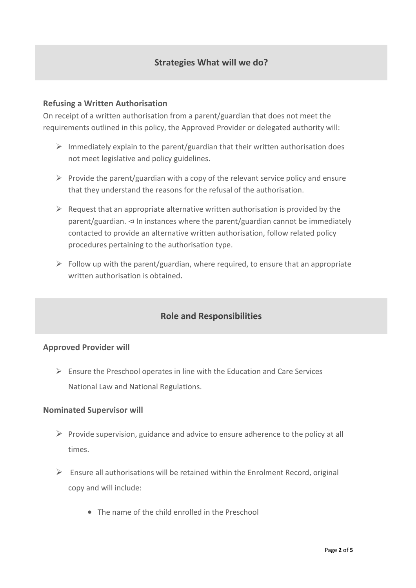#### **Refusing a Written Authorisation**

On receipt of a written authorisation from a parent/guardian that does not meet the requirements outlined in this policy, the Approved Provider or delegated authority will:

- $\triangleright$  Immediately explain to the parent/guardian that their written authorisation does not meet legislative and policy guidelines.
- $\triangleright$  Provide the parent/guardian with a copy of the relevant service policy and ensure that they understand the reasons for the refusal of the authorisation.
- $\triangleright$  Request that an appropriate alternative written authorisation is provided by the parent/guardian. ⊲ In instances where the parent/guardian cannot be immediately contacted to provide an alternative written authorisation, follow related policy procedures pertaining to the authorisation type.
- $\triangleright$  Follow up with the parent/guardian, where required, to ensure that an appropriate written authorisation is obtained.

### **Role and Responsibilities**

#### **Approved Provider will**

 $\triangleright$  Ensure the Preschool operates in line with the Education and Care Services National Law and National Regulations.

#### **Nominated Supervisor will**

- $\triangleright$  Provide supervision, guidance and advice to ensure adherence to the policy at all times.
- $\triangleright$  Ensure all authorisations will be retained within the Enrolment Record, original copy and will include:
	- The name of the child enrolled in the Preschool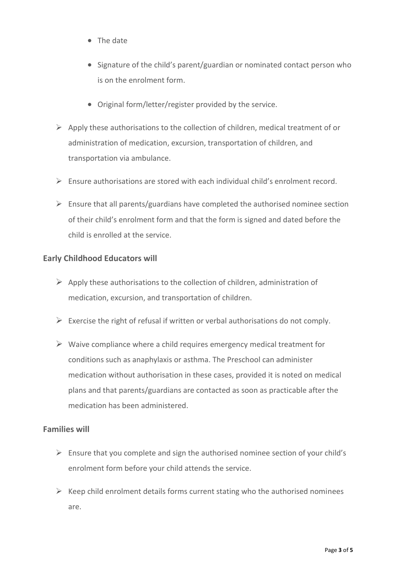- The date
- Signature of the child's parent/guardian or nominated contact person who is on the enrolment form.
- Original form/letter/register provided by the service.
- $\triangleright$  Apply these authorisations to the collection of children, medical treatment of or administration of medication, excursion, transportation of children, and transportation via ambulance.
- $\triangleright$  Ensure authorisations are stored with each individual child's enrolment record.
- $\triangleright$  Ensure that all parents/guardians have completed the authorised nominee section of their child's enrolment form and that the form is signed and dated before the child is enrolled at the service.

#### **Early Childhood Educators will**

- $\triangleright$  Apply these authorisations to the collection of children, administration of medication, excursion, and transportation of children.
- $\triangleright$  Exercise the right of refusal if written or verbal authorisations do not comply.
- $\triangleright$  Waive compliance where a child requires emergency medical treatment for conditions such as anaphylaxis or asthma. The Preschool can administer medication without authorisation in these cases, provided it is noted on medical plans and that parents/guardians are contacted as soon as practicable after the medication has been administered.

#### **Families will**

- $\triangleright$  Ensure that you complete and sign the authorised nominee section of your child's enrolment form before your child attends the service.
- $\triangleright$  Keep child enrolment details forms current stating who the authorised nominees are.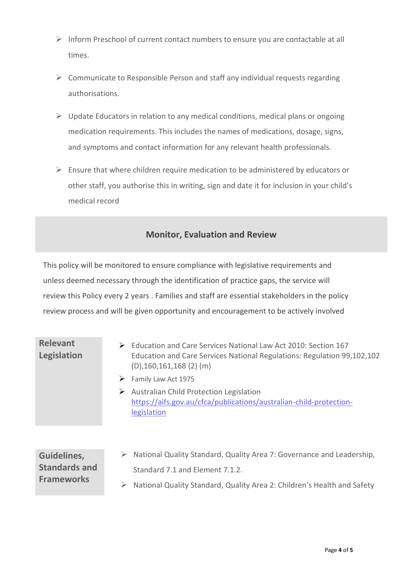- ➢ Inform Preschool of current contact numbers to ensure you are contactable at all times.
- ➢ Communicate to Responsible Person and staff any individual requests regarding authorisations.
- $\triangleright$  Update Educators in relation to any medical conditions, medical plans or ongoing medication requirements. This includes the names of medications, dosage, signs, and symptoms and contact information for any relevant health professionals.
- ➢ Ensure that where children require medication to be administered by educators or other staff, you authorise this in writing, sign and date it for inclusion in your child's medical record

### **Monitor, Evaluation and Review**

This policy will be monitored to ensure compliance with legislative requirements and unless deemed necessary through the identification of practice gaps, the service will review this Policy every 2 years . Families and staff are essential stakeholders in the policy review process and will be given opportunity and encouragement to be actively involved

## **Relevant Legislation**

- ➢ Education and Care Services National Law Act 2010: Section 167 Education and Care Services National Regulations: Regulation 99,102,102 (D),160,161,168 (2) (m)
- ➢ Family Law Act 1975
- ➢ Australian Child Protection Legislation [https://aifs.gov.au/cfca/publications/australian-child-protection](https://aifs.gov.au/cfca/publications/australian-child-protection-legislation)[legislation](https://aifs.gov.au/cfca/publications/australian-child-protection-legislation)

#### **Guidelines, Standards and Frameworks**  ➢ National Quality Standard, Quality Area 7: Governance and Leadership, Standard 7.1 and Element 7.1.2. ➢ National Quality Standard, Quality Area 2: Children's Health and Safety